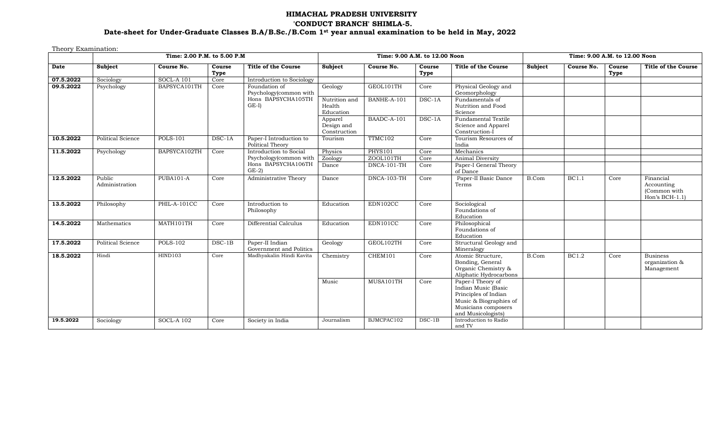# **HIMACHAL PRADESH UNIVERSITY 'CONDUCT BRANCH' SHIMLA-5. Date-sheet for Under-Graduate Classes B.A/B.Sc./B.Com 1st year annual examination to be held in May, 2022**

Theory Examination:

|           |                          | Time: 2.00 P.M. to 5.00 P.M |                |                                             |                                       | Time: 9.00 A.M. to 12.00 Noon |                |                                                                                                                                         | Time: 9.00 A.M. to 12.00 Noon |              |                |                                                            |  |
|-----------|--------------------------|-----------------------------|----------------|---------------------------------------------|---------------------------------------|-------------------------------|----------------|-----------------------------------------------------------------------------------------------------------------------------------------|-------------------------------|--------------|----------------|------------------------------------------------------------|--|
| Date      | <b>Subject</b>           | Course No.                  | Course<br>Type | <b>Title of the Course</b>                  | Subject                               | Course No.                    | Course<br>Type | <b>Title of the Course</b>                                                                                                              | <b>Subject</b>                | Course No.   | Course<br>Type | <b>Title of the Course</b>                                 |  |
| 07.5.2022 | Sociology                | <b>SOCL-A 101</b>           | Core           | Introduction to Sociology                   |                                       |                               |                |                                                                                                                                         |                               |              |                |                                                            |  |
| 09.5.2022 | Psychology               | BAPSYCA101TH                | Core           | Foundation of<br>Psychology(common with     | Geology                               | GEOL101TH                     | Core           | Physical Geology and<br>Geomorphology                                                                                                   |                               |              |                |                                                            |  |
|           |                          |                             |                | Hons BAPSYCHA105TH<br>$GE-I$                | Nutrition and<br>Health<br>Education  | BANHE-A-101                   | $DSC-1A$       | Fundamentals of<br>Nutrition and Food<br>Science                                                                                        |                               |              |                |                                                            |  |
|           |                          |                             |                |                                             | Apparel<br>Design and<br>Construction | BAADC-A-101                   | DSC-1A         | Fundamental Textile<br>Science and Apparel<br>Construction-I                                                                            |                               |              |                |                                                            |  |
| 10.5.2022 | Political Science        | <b>POLS-101</b>             | $DSC-1A$       | Paper-I Introduction to<br>Political Theory | Tourism                               | TTMC102                       | Core           | Tourism Resources of<br>India                                                                                                           |                               |              |                |                                                            |  |
| 11.5.2022 | Psychology               | BAPSYCA102TH                | Core           | Introduction to Social                      | Physics                               | <b>PHYS101</b>                | Core           | Mechanics                                                                                                                               |                               |              |                |                                                            |  |
|           |                          |                             |                | Psychology(common with                      | Zoology                               | ZOOL101TH                     | Core           | Animal Diversity                                                                                                                        |                               |              |                |                                                            |  |
|           |                          |                             |                | Hons BAPSYCHA106TH<br>$GE-2$                | Dance                                 | DNCA-101-TH                   | Core           | Paper-I General Theory<br>of Dance                                                                                                      |                               |              |                |                                                            |  |
| 12.5.2022 | Public<br>Administration | PUBA101-A                   | Core           | Administrative Theory                       | Dance                                 | DNCA-103-TH                   | Core           | Paper-II Basic Dance<br>Terms                                                                                                           | B.Com                         | <b>BC1.1</b> | Core           | Financial<br>Accounting<br>(Common with<br>Hon's $BCH-1.1$ |  |
| 13.5.2022 | Philosophy               | PHIL-A-101CC                | Core           | Introduction to<br>Philosophy               | Education                             | EDN102CC                      | Core           | Sociological<br>Foundations of<br>Education                                                                                             |                               |              |                |                                                            |  |
| 14.5.2022 | Mathematics              | MATH101TH                   | Core           | Differential Calculus                       | Education                             | EDN101CC                      | Core           | Philosophical<br>Foundations of<br>Education                                                                                            |                               |              |                |                                                            |  |
| 17.5.2022 | <b>Political Science</b> | <b>POLS-102</b>             | $DSC-1B$       | Paper-II Indian<br>Government and Politics  | Geology                               | GEOL102TH                     | Core           | Structural Geology and<br>Mineralogy                                                                                                    |                               |              |                |                                                            |  |
| 18.5.2022 | Hindi                    | HIND103                     | Core           | Madhyakalin Hindi Kavita                    | Chemistry                             | CHEM101                       | Core           | Atomic Structure,<br>Bonding, General<br>Organic Chemistry &<br>Aliphatic Hydrocarbons                                                  | B.Com                         | <b>BC1.2</b> | Core           | <b>Business</b><br>organization &<br>Management            |  |
|           |                          |                             |                |                                             | Music                                 | MUSA101TH                     | Core           | Paper-I Theory of<br>Indian Music (Basic<br>Principles of Indian<br>Music & Biographies of<br>Musicians composers<br>and Musicologists) |                               |              |                |                                                            |  |
| 19.5.2022 | Sociology                | SOCL-A 102                  | Core           | Society in India                            | Journalism                            | BJMCPAC102                    | $DSC-1B$       | Introduction to Radio<br>and TV                                                                                                         |                               |              |                |                                                            |  |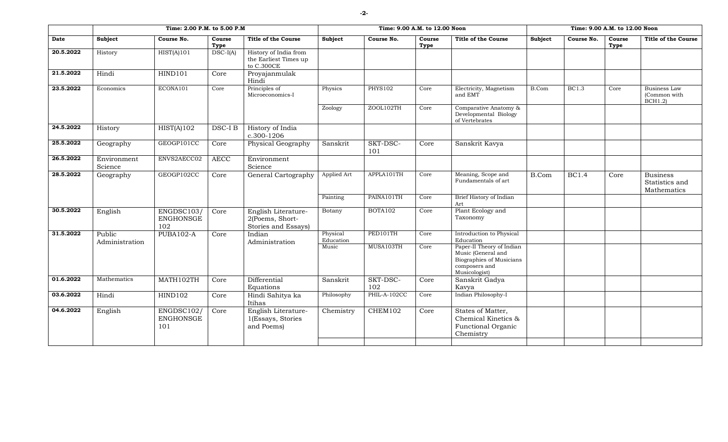| Subject                | Course No.                            | Course<br>Type           | <b>Title of the Course</b>                                   | Subject                                                                                                                | Course No.                  | Course<br>Type                                                     | <b>Title of the Course</b>                                                       | Subject                                                                                                             | Course No.   | Course<br>Type | <b>Title of the Course</b>                       |
|------------------------|---------------------------------------|--------------------------|--------------------------------------------------------------|------------------------------------------------------------------------------------------------------------------------|-----------------------------|--------------------------------------------------------------------|----------------------------------------------------------------------------------|---------------------------------------------------------------------------------------------------------------------|--------------|----------------|--------------------------------------------------|
| History                | HIST(A)101                            | $DSC-I(A)$               | History of India from<br>the Earliest Times up<br>to C.300CE |                                                                                                                        |                             |                                                                    |                                                                                  |                                                                                                                     |              |                |                                                  |
| Hindi                  | HIND101                               | Core                     | Proyajanmulak<br>Hindi                                       |                                                                                                                        |                             |                                                                    |                                                                                  |                                                                                                                     |              |                |                                                  |
| Economics              | ECONA101                              | Core                     | Microeconomics-I                                             | Physics                                                                                                                |                             | Core                                                               | Electricity, Magnetism<br>and EMT                                                | B.Com                                                                                                               | <b>BC1.3</b> | Core           | Business Law<br>(Common with<br><b>BCH1.2</b> )  |
|                        |                                       |                          |                                                              | Zoology                                                                                                                | ZOOL102TH                   | Core                                                               | Comparative Anatomy &<br>Developmental Biology<br>of Vertebrates                 |                                                                                                                     |              |                |                                                  |
| History                | HIST(A)102                            | DSC-I B                  | c.300-1206                                                   |                                                                                                                        |                             |                                                                    |                                                                                  |                                                                                                                     |              |                |                                                  |
| Geography              |                                       | Core                     | Physical Geography                                           | Sanskrit                                                                                                               | SKT-DSC-<br>101             | Core                                                               | Sanskrit Kavya                                                                   |                                                                                                                     |              |                |                                                  |
| Environment<br>Science | ENVS2AECC02                           | <b>AECC</b>              | Environment<br>Science                                       |                                                                                                                        |                             |                                                                    |                                                                                  |                                                                                                                     |              |                |                                                  |
| Geography              | GEOGP102CC                            | Core                     | General Cartography                                          | Applied Art                                                                                                            | APPLA101TH                  | Core                                                               | Meaning, Scope and<br>Fundamentals of art                                        | B.Com                                                                                                               | <b>BC1.4</b> | Core           | <b>Business</b><br>Statistics and<br>Mathematics |
|                        |                                       |                          |                                                              |                                                                                                                        |                             | Core                                                               | Art                                                                              |                                                                                                                     |              |                |                                                  |
|                        | <b>ENGHONSGE</b><br>102               | Core                     | 2(Poems, Short-<br>Stories and Essays)                       |                                                                                                                        |                             |                                                                    | Taxonomy                                                                         |                                                                                                                     |              |                |                                                  |
| Public                 | <b>PUBA102-A</b>                      | Core                     | Indian                                                       | Physical<br>Education                                                                                                  | PED101TH                    | Core                                                               | Introduction to Physical<br>Education                                            |                                                                                                                     |              |                |                                                  |
|                        |                                       |                          |                                                              |                                                                                                                        |                             |                                                                    | Music (General and<br>Biographies of Musicians<br>composers and<br>Musicologist) |                                                                                                                     |              |                |                                                  |
| Mathematics            | MATH102TH                             | Core                     | Differential                                                 | Sanskrit                                                                                                               | SKT-DSC-                    | Core                                                               | Sanskrit Gadya                                                                   |                                                                                                                     |              |                |                                                  |
| Hindi                  | HIND102                               | Core                     | Hindi Sahitya ka<br>Itihas                                   | Philosophy                                                                                                             | PHIL-A-102CC                | Core                                                               | Indian Philosophy-I                                                              |                                                                                                                     |              |                |                                                  |
| English                | ENGDSC102/<br><b>ENGHONSGE</b><br>101 | Core                     | English Literature-<br>1(Essays, Stories<br>and Poems)       | Chemistry                                                                                                              | CHEM102                     | Core                                                               | States of Matter,<br>Chemical Kinetics &<br>Functional Organic<br>Chemistry      |                                                                                                                     |              |                |                                                  |
|                        | English<br>Administration             | GEOGP101CC<br>ENGDSC103/ |                                                              | Time: 2.00 P.M. to 5.00 P.M<br>Principles of<br>History of India<br>English Literature-<br>Administration<br>Equations | Painting<br>Botany<br>Music | <b>PHYS102</b><br>PAINA101TH<br><b>BOTA102</b><br>MUSA103TH<br>102 | Core<br>Core                                                                     | Time: 9.00 A.M. to 12.00 Noon<br>Brief History of Indian<br>Plant Ecology and<br>Paper-II Theory of Indian<br>Kavya |              |                | Time: 9.00 A.M. to 12.00 Noon                    |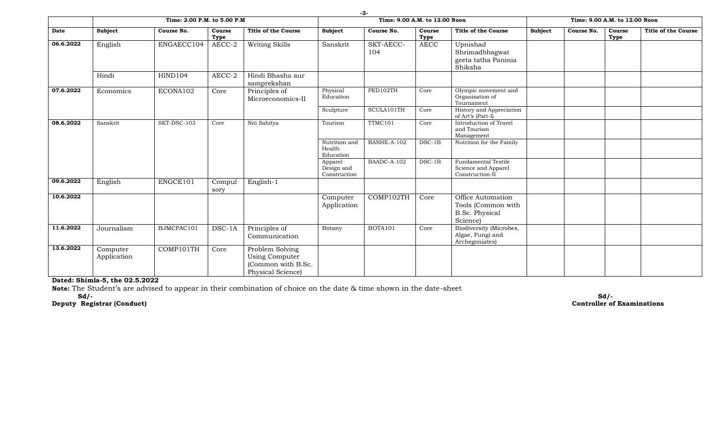|           |                         | Time: 2.00 P.M. to 5.00 P.M |                |                                                                              |                                       | Time: 9.00 A.M. to 12.00 Noon |                |                                                                              |         | Time: 9.00 A.M. to 12.00 Noon |                |                            |
|-----------|-------------------------|-----------------------------|----------------|------------------------------------------------------------------------------|---------------------------------------|-------------------------------|----------------|------------------------------------------------------------------------------|---------|-------------------------------|----------------|----------------------------|
| Date      | Subject                 | Course No.                  | Course<br>Type | <b>Title of the Course</b>                                                   | Subject                               | Course No.                    | Course<br>Type | <b>Title of the Course</b>                                                   | Subject | Course No.                    | Course<br>Type | <b>Title of the Course</b> |
| 06.6.2022 | English                 | ENGAECC104                  | AECC-2         | Writing Skills                                                               | Sanskrit                              | SKT-AECC-<br>104              | <b>AECC</b>    | Upnishad<br>Shrimadbhagwat<br>geeta tatha Paninia<br>Shiksha                 |         |                               |                |                            |
|           | Hindi                   | HIND104                     | AECC-2         | Hindi Bhasha aur<br>samprekshan                                              |                                       |                               |                |                                                                              |         |                               |                |                            |
| 07.6.2022 | Economics               | ECONA102                    | Core           | Principles of<br>Microeconomics-II                                           | Physical<br>Education                 | PED102TH                      | Core           | Olympic movement and<br>Organisation of<br>Tournament                        |         |                               |                |                            |
|           |                         |                             |                |                                                                              | Sculpture                             | SCULA101TH                    | Core           | History and Appreciation<br>of Art's (Part-I)                                |         |                               |                |                            |
| 08.6.2022 | Sanskrit                | SKT-DSC-103                 | Core           | Niti Sahitya                                                                 | Tourism                               | TTMC101                       | Core           | Introduction of Travel<br>and Tourism<br>Management                          |         |                               |                |                            |
|           |                         |                             |                |                                                                              | Nutrition and<br>Health<br>Education  | BANHE-A-102                   | $DSC-1B$       | Nutrition for the Family                                                     |         |                               |                |                            |
|           |                         |                             |                |                                                                              | Apparel<br>Design and<br>Construction | BAADC-A-102                   | $DSC-1B$       | <b>Fundamental Textile</b><br>Science and Apparel<br>Construction-II         |         |                               |                |                            |
| 09.6.2022 | English                 | ENGCE101                    | Compul<br>sory | English-1                                                                    |                                       |                               |                |                                                                              |         |                               |                |                            |
| 10.6.2022 |                         |                             |                |                                                                              | Computer<br>Application               | COMP102TH                     | Core           | Office Automation<br>Tools (Common with<br><b>B.Sc. Physical</b><br>Science) |         |                               |                |                            |
| 11.6.2022 | Journalism              | BJMCPAC101                  | DSC-1A         | Principles of<br>Communication                                               | Botany                                | BOTA101                       | Core           | Biodiversity (Microbes,<br>Algae, Fungi and<br>Archegoniates)                |         |                               |                |                            |
| 13.6.2022 | Computer<br>Application | COMP101TH                   | Core           | Problem Solving<br>Using Computer<br>(Common with B.Sc.<br>Physical Science) |                                       |                               |                |                                                                              |         |                               |                |                            |

#### **Dated: Shimla-5, the 02.5.2022**

**Note:** The Student's are advised to appear in their combination of choice on the date & time shown in the date-sheet

**Deputy Registrar (Conduct) Controller of Examinations**

**Sd/- Sd/-**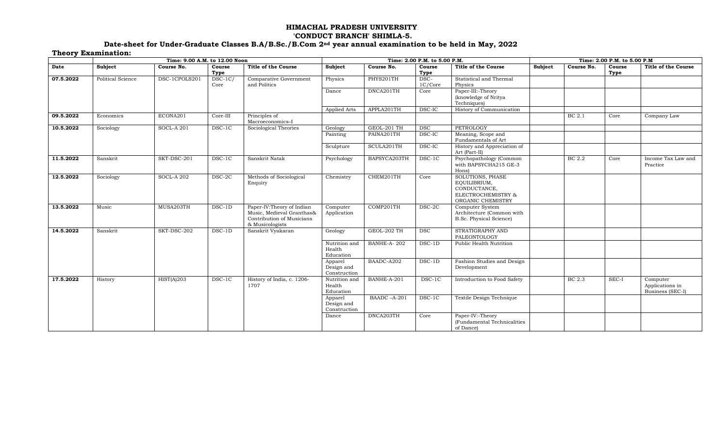## **HIMACHAL PRADESH UNIVERSITY 'CONDUCT BRANCH' SHIMLA-5.**

### **Date-sheet for Under-Graduate Classes B.A/B.Sc./B.Com 2nd year annual examination to be held in May, 2022 Theory Examination:**

| -------   |                   | Time: 9.00 A.M. to 12.00 Noon |                   |                                                                                                        |                                       | Time: 2.00 P.M. to 5.00 P.M. |                 | Time: 2.00 P.M. to 5.00 P.M                                                                        |         |            |                |                                                 |
|-----------|-------------------|-------------------------------|-------------------|--------------------------------------------------------------------------------------------------------|---------------------------------------|------------------------------|-----------------|----------------------------------------------------------------------------------------------------|---------|------------|----------------|-------------------------------------------------|
| Date      | Subject           | Course No.                    | Course<br>Type    | <b>Title of the Course</b>                                                                             | Subject                               | Course No.                   | Course<br>Type  | <b>Title of the Course</b>                                                                         | Subject | Course No. | Course<br>Type | <b>Title of the Course</b>                      |
| 07.5.2022 | Political Science | DSC-1CPOLS201                 | $DSC-1C/$<br>Core | Comparative Government<br>and Politics                                                                 | Physics                               | PHYS201TH                    | DSC-<br>1C/Core | Statistical and Thermal<br>Physics                                                                 |         |            |                |                                                 |
|           |                   |                               |                   |                                                                                                        | Dance                                 | DNCA201TH                    | Core            | Paper-III:-Theory<br>(knowledge of Nritya<br>Techniques)                                           |         |            |                |                                                 |
|           |                   |                               |                   |                                                                                                        | Applied Arts                          | APPLA201TH                   | DSC-IC          | History of Communication                                                                           |         |            |                |                                                 |
| 09.5.2022 | Economics         | ECONA201                      | Core-III          | Principles of<br>Macroeconomics-I                                                                      |                                       |                              |                 |                                                                                                    |         | BC 2.1     | Core           | Company Law                                     |
| 10.5.2022 | Sociology         | <b>SOCL-A 201</b>             | DSC-1C            | Sociological Theories                                                                                  | Geology                               | GEOL-201 TH                  | <b>DSC</b>      | PETROLOGY                                                                                          |         |            |                |                                                 |
|           |                   |                               |                   |                                                                                                        | Painting                              | PAINA201TH                   | DSC-IC          | Meaning, Scope and<br>Fundamentals of Art                                                          |         |            |                |                                                 |
|           |                   |                               |                   |                                                                                                        | Sculpture                             | SCULA201TH                   | DSC-IC          | History and Appreciation of<br>Art (Part-II)                                                       |         |            |                |                                                 |
| 11.5.2022 | Sanskrit          | SKT-DSC-201                   | DSC-1C            | Sanskrit Natak                                                                                         | Psychology                            | BAPSYCA203TH                 | DSC-1C          | Psychopathology (Common<br>with BAPSYCHA215 GE-3<br>Hons)                                          |         | BC 2.2     | Core           | Income Tax Law and<br>Practice                  |
| 12.5.2022 | Sociology         | <b>SOCL-A 202</b>             | DSC-2C            | Methods of Sociological<br>Enquiry                                                                     | Chemistry                             | CHEM201TH                    | Core            | <b>SOLUTIONS, PHASE</b><br>EQUILIBRIUM,<br>CONDUCTANCE,<br>ELECTROCHEMISTRY &<br>ORGANIC CHEMISTRY |         |            |                |                                                 |
| 13.5.2022 | Music             | MUSA203TH                     | DSC-1D            | Paper-IV:Theory of Indian<br>Music, Medieval Granthas&<br>Contribution of Musicians<br>& Musicologists | Computer<br>Application               | COMP201TH                    | DSC-2C          | Computer System<br>Architecture (Common with<br><b>B.Sc. Physical Science)</b>                     |         |            |                |                                                 |
| 14.5.2022 | Sanskrit          | SKT-DSC-202                   | DSC-1D            | Sanskrit Vyakaran                                                                                      | Geology                               | GEOL-202 TH                  | DSC             | STRATIGRAPHY AND<br>PALEONTOLOGY                                                                   |         |            |                |                                                 |
|           |                   |                               |                   |                                                                                                        | Nutrition and<br>Health<br>Education  | BANHE-A-202                  | $DSC-1D$        | Public Health Nutrition                                                                            |         |            |                |                                                 |
|           |                   |                               |                   |                                                                                                        | Apparel<br>Design and<br>Construction | BAADC-A202                   | $DSC-1D$        | Fashion Studies and Design<br>Development                                                          |         |            |                |                                                 |
| 17.5.2022 | History           | HIST(A)203                    | DSC-1C            | History of India, c. 1206-<br>1707                                                                     | Nutrition and<br>Health<br>Education  | BANHE-A-201                  | DSC-1C          | Introduction to Food Safety                                                                        |         | BC 2.3     | SEC-I          | Computer<br>Applications in<br>Business (SEC-I) |
|           |                   |                               |                   |                                                                                                        | Apparel<br>Design and<br>Construction | BAADC-A-201                  | DSC-1C          | Textile Design Technique                                                                           |         |            |                |                                                 |
|           |                   |                               |                   |                                                                                                        | Dance                                 | DNCA203TH                    | Core            | Paper-IV:-Theory<br>(Fundamental Technicalities<br>of Dance)                                       |         |            |                |                                                 |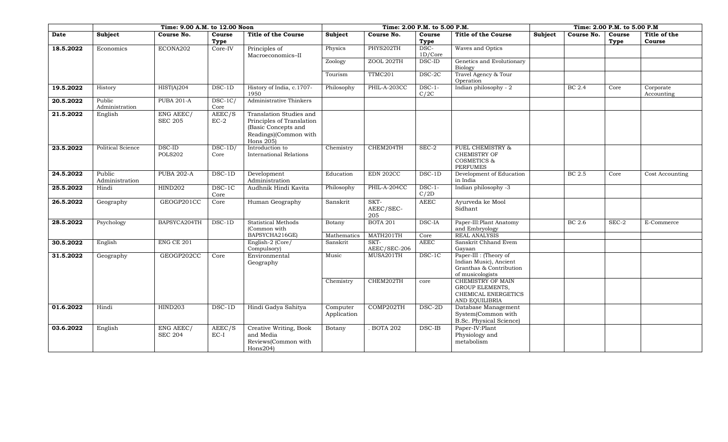|           |                          | Time: 9.00 A.M. to 12.00 Noon |                   |                                                                                                                      | Time: 2.00 P.M. to 5.00 P.M. |                          | Time: 2.00 P.M. to 5.00 P.M |                                                                                                 |                |            |                |                         |
|-----------|--------------------------|-------------------------------|-------------------|----------------------------------------------------------------------------------------------------------------------|------------------------------|--------------------------|-----------------------------|-------------------------------------------------------------------------------------------------|----------------|------------|----------------|-------------------------|
| Date      | Subject                  | Course No.                    | Course<br>Type    | <b>Title of the Course</b>                                                                                           | <b>Subject</b>               | Course No.               | Course<br>Type              | <b>Title of the Course</b>                                                                      | <b>Subject</b> | Course No. | Course<br>Type | Title of the<br>Course  |
| 18.5.2022 | Economics                | ECONA202                      | Core-IV           | Principles of<br>Macroeconomics-II                                                                                   | Physics                      | PHYS202TH                | DSC-<br>$1D/C$ ore          | Waves and Optics                                                                                |                |            |                |                         |
|           |                          |                               |                   |                                                                                                                      | Zoology                      | ZOOL 202TH               | DSC-ID                      | Genetics and Evolutionary<br>Biology                                                            |                |            |                |                         |
|           |                          |                               |                   |                                                                                                                      | Tourism                      | TTMC201                  | DSC-2C                      | Travel Agency & Tour<br>Operation                                                               |                |            |                |                         |
| 19.5.2022 | History                  | HIST(A)204                    | DSC-1D            | History of India, c.1707-<br>1950                                                                                    | Philosophy                   | PHIL-A-203CC             | $DSC-1-$<br>C/2C            | Indian philosophy - 2                                                                           |                | BC 2.4     | Core           | Corporate<br>Accounting |
| 20.5.2022 | Public<br>Administration | <b>PUBA 201-A</b>             | $DSC-1C/$<br>Core | Administrative Thinkers                                                                                              |                              |                          |                             |                                                                                                 |                |            |                |                         |
| 21.5.2022 | English                  | ENG AEEC/<br><b>SEC 205</b>   | AEEC/S<br>$EC-2$  | Translation Studies and<br>Principles of Translation<br>(Basic Concepts and<br>Readings)(Common with<br>Hons $205$ ) |                              |                          |                             |                                                                                                 |                |            |                |                         |
| 23.5.2022 | <b>Political Science</b> | DSC-ID<br><b>POLS202</b>      | $DSC-1D/$<br>Core | Introduction to<br><b>International Relations</b>                                                                    | Chemistry                    | CHEM204TH                | SEC-2                       | <b>FUEL CHEMISTRY &amp;</b><br><b>CHEMISTRY OF</b><br><b>COSMETICS &amp;</b><br><b>PERFUMES</b> |                |            |                |                         |
| 24.5.2022 | Public<br>Administration | <b>PUBA 202-A</b>             | $DSC-1D$          | Development<br>Administration                                                                                        | Education                    | <b>EDN 202CC</b>         | DSC-1D                      | Development of Education<br>in India                                                            |                | BC 2.5     | Core           | Cost Accounting         |
| 25.5.2022 | Hindi                    | <b>HIND202</b>                | DSC-1C<br>Core    | Audhnik Hindi Kavita                                                                                                 | Philosophy                   | PHIL-A-204CC             | $DSC-1-$<br>C/2D            | Indian philosophy -3                                                                            |                |            |                |                         |
| 26.5.2022 | Geography                | GEOGP201CC                    | Core              | Human Geography                                                                                                      | Sanskrit                     | SKT-<br>AEEC/SEC-<br>205 | <b>AEEC</b>                 | Ayurveda ke Mool<br>Sidhant                                                                     |                |            |                |                         |
| 28.5.2022 | Psychology               | BAPSYCA204TH                  | $DSC-1D$          | <b>Statistical Methods</b><br>(Common with                                                                           | Botany                       | <b>BOTA 201</b>          | DSC-IA                      | Paper-III: Plant Anatomy<br>and Embryology                                                      |                | BC 2.6     | SEC-2          | E-Commerce              |
|           |                          |                               |                   | BAPSYCHA216GE)                                                                                                       | Mathematics                  | MATH201TH                | Core                        | <b>REAL ANALYSIS</b>                                                                            |                |            |                |                         |
| 30.5.2022 | English                  | <b>ENG CE 201</b>             |                   | English-2 (Core/<br>Compulsory)                                                                                      | Sanskrit                     | SKT-<br>AEEC/SEC-206     | <b>AEEC</b>                 | Sanskrit Chhand Evem<br>Gayaan                                                                  |                |            |                |                         |
| 31.5.2022 | Geography                | GEOGP202CC                    | Core              | Environmental<br>Geography                                                                                           | Music                        | MUSA201TH                | DSC-1C                      | Paper-III : (Theory of<br>Indian Music), Ancient<br>Granthas & Contribution<br>of musicologists |                |            |                |                         |
|           |                          |                               |                   |                                                                                                                      | Chemistry                    | CHEM202TH                | core                        | <b>CHEMISTRY OF MAIN</b><br>GROUP ELEMENTS,<br>CHEMICAL ENERGETICS<br>AND EQUILIBRIA            |                |            |                |                         |
| 01.6.2022 | Hindi                    | <b>HIND203</b>                | DSC-1D            | Hindi Gadya Sahitya                                                                                                  | Computer<br>Application      | COMP202TH                | DSC-2D                      | Database Management<br>System(Common with<br>B.Sc. Physical Science)                            |                |            |                |                         |
| 03.6.2022 | English                  | ENG AEEC/<br><b>SEC 204</b>   | AEEC/S<br>$EC-I$  | Creative Writing, Book<br>and Media<br>Reviews(Common with<br>Hons204)                                               | Botany                       | <b>BOTA 202</b>          | DSC-IB                      | Paper-IV:Plant<br>Physiology and<br>metabolism                                                  |                |            |                |                         |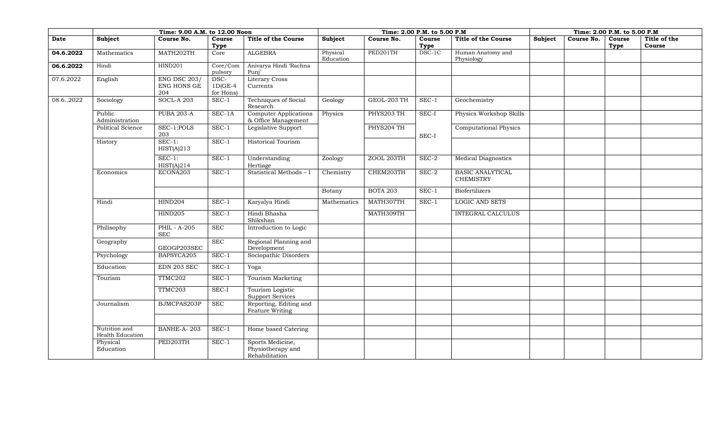|           |                                   | Time: 9.00 A.M. to 12.00 Noon             |                                 |                                                     |                       |                 | Time: 2.00 P.M. to 5.00 P.M |                                             |         |            | Time: 2.00 P.M. to 5.00 P.M |              |
|-----------|-----------------------------------|-------------------------------------------|---------------------------------|-----------------------------------------------------|-----------------------|-----------------|-----------------------------|---------------------------------------------|---------|------------|-----------------------------|--------------|
| Date      | Subject                           | Course No.                                | Course                          | <b>Title of the Course</b>                          | Subject               | Course No.      | Course                      | <b>Title of the Course</b>                  | Subject | Course No. | Course                      | Title of the |
| 04.6.2022 | Mathematics                       | MATH202TH                                 | Type<br>Core                    | <b>ALGEBRA</b>                                      | Physical<br>Education | PED201TH        | Type<br>DSC-1C              | Human Anatomy and<br>Physiology             |         |            | Type                        | Course       |
| 06.6.2022 | Hindi                             | <b>HIND201</b>                            | Core/Com<br>pulsory             | Anivarya Hindi 'Rachna<br>Punj'                     |                       |                 |                             |                                             |         |            |                             |              |
| 07.6.2022 | English                           | <b>ENG DSC 203/</b><br>ENG HONS GE<br>204 | DSC-<br>$1D(GE-4)$<br>for Hons) | <b>Literary Cross</b><br>Currents                   |                       |                 |                             |                                             |         |            |                             |              |
| 08.62022  | Sociology                         | <b>SOCL-A 203</b>                         | $SEC-1$                         | Techniques of Social<br>Research                    | Geology               | GEOL-203 TH     | $SEC-1$                     | Geochemistry                                |         |            |                             |              |
|           | Public<br>Administration          | <b>PUBA 203-A</b>                         | SEC-1A                          | <b>Computer Applications</b><br>& Office Management | Physics               | PHYS203 TH      | SEC-I                       | Physics Workshop Skills                     |         |            |                             |              |
|           | Political Science                 | SEC-1:POLS<br>203                         | $SEC-1$                         | Legislative Support                                 |                       | PHYS204 TH      | SEC-I                       | <b>Computational Physics</b>                |         |            |                             |              |
|           | History                           | $SEC-1:$<br>HIST(A)213                    | $SEC-1$                         | <b>Historical Tourism</b>                           |                       |                 |                             |                                             |         |            |                             |              |
|           |                                   | $SEC-1:$<br>HIST(A)214                    | $SEC-1$                         | Understanding<br>Hertiage                           | Zoology               | ZOOL 203TH      | SEC-2                       | <b>Medical Diagnostics</b>                  |         |            |                             |              |
|           | Economics                         | ECONA203                                  | $SEC-1$                         | Statistical Methods - I                             | Chemistry             | CHEM203TH       | SEC-2                       | <b>BASIC ANALYTICAL</b><br><b>CHEMISTRY</b> |         |            |                             |              |
|           |                                   |                                           |                                 |                                                     | Botany                | <b>BOTA 203</b> | $SEC-1$                     | <b>Biofertilizers</b>                       |         |            |                             |              |
|           | Hindi                             | HIND204                                   | $SEC-1$                         | Karyalya Hindi                                      | Mathematics           | MATH307TH       | $SEC-1$                     | <b>LOGIC AND SETS</b>                       |         |            |                             |              |
|           |                                   | HIND205                                   | $SEC-1$                         | Hindi Bhasha<br>Shikshan                            |                       | MATH309TH       |                             | <b>INTEGRAL CALCULUS</b>                    |         |            |                             |              |
|           | Philisophy                        | PHIL - A-205<br>$\operatorname{SEC}$      | <b>SEC</b>                      | Introduction to Logic                               |                       |                 |                             |                                             |         |            |                             |              |
|           | Geography                         | GEOGP203SEC                               | <b>SEC</b>                      | Regional Planning and<br>Development                |                       |                 |                             |                                             |         |            |                             |              |
|           | Psychology                        | BAPSYCA205                                | $SEC-1$                         | Sociopathic Disorders                               |                       |                 |                             |                                             |         |            |                             |              |
|           | Education                         | EDN 203 SEC                               | $SEC-1$                         | Yoga                                                |                       |                 |                             |                                             |         |            |                             |              |
|           | Tourism                           | TTMC202                                   | $SEC-1$                         | Tourism Marketing                                   |                       |                 |                             |                                             |         |            |                             |              |
|           |                                   | TTMC203                                   | SEC-I                           | Tourism Logistic<br><b>Support Services</b>         |                       |                 |                             |                                             |         |            |                             |              |
|           | Journalism                        | BJMCPAS203P                               | <b>SEC</b>                      | Reporting, Editing and<br>Feature Writing           |                       |                 |                             |                                             |         |            |                             |              |
|           | Nutrition and<br>Health Education | BANHE-A-203                               | $SEC-1$                         | Home based Catering                                 |                       |                 |                             |                                             |         |            |                             |              |
|           | Physical                          | PED203TH                                  | $SEC-1$                         | Sports Medicine,                                    |                       |                 |                             |                                             |         |            |                             |              |
|           | Education                         |                                           |                                 | Physiotherapy and<br>Rehabilitation                 |                       |                 |                             |                                             |         |            |                             |              |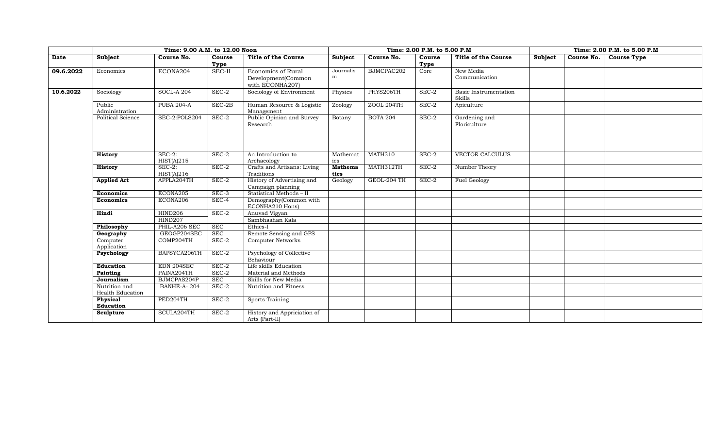|           |                                   | Time: 9.00 A.M. to 12.00 Noon |                |                                                             |                        |                 | Time: 2.00 P.M. to 5.00 P.M |                                 | Time: 2.00 P.M. to 5.00 P.M. |            |                    |  |
|-----------|-----------------------------------|-------------------------------|----------------|-------------------------------------------------------------|------------------------|-----------------|-----------------------------|---------------------------------|------------------------------|------------|--------------------|--|
| Date      | Subject                           | Course No.                    | Course<br>Type | <b>Title of the Course</b>                                  | <b>Subject</b>         | Course No.      | Course<br><b>Type</b>       | <b>Title of the Course</b>      | Subject                      | Course No. | <b>Course Type</b> |  |
| 09.6.2022 | Economics                         | ECONA204                      | $SEC-II$       | Economics of Rural<br>Development(Common<br>with ECONHA207) | Journalis<br>m         | BJMCPAC202      | Core                        | New Media<br>Communication      |                              |            |                    |  |
| 10.6.2022 | Sociology                         | <b>SOCL-A 204</b>             | $SEC-2$        | Sociology of Environment                                    | Physics                | PHYS206TH       | SEC-2                       | Basic Instrumentation<br>Skills |                              |            |                    |  |
|           | Public<br>Administration          | <b>PUBA 204-A</b>             | $SEC-2B$       | Human Resource & Logistic<br>Management                     | Zoology                | ZOOL 204TH      | $SEC-2$                     | Apiculture                      |                              |            |                    |  |
|           | <b>Political Science</b>          | SEC-2:POLS204                 | $SEC-2$        | Public Opinion and Survey<br>Research                       | Botany                 | <b>BOTA 204</b> | $SEC-2$                     | Gardening and<br>Floriculture   |                              |            |                    |  |
|           | <b>History</b>                    | $SEC-2:$<br>HIST(A)215        | $SEC-2$        | An Introduction to<br>Archaeology                           | Mathemat<br>ics        | MATH310         | $SEC-2$                     | VECTOR CALCULUS                 |                              |            |                    |  |
|           | <b>History</b>                    | $SEC-2$ :<br>HIST(A)216       | $SEC-2$        | Crafts and Artisans: Living<br>Traditions                   | <b>Mathema</b><br>tics | MATH312TH       | $SEC-2$                     | Number Theory                   |                              |            |                    |  |
|           | <b>Applied Art</b>                | APPLA204TH                    | $SEC-2$        | History of Advertising and<br>Campaign planning             | Geology                | GEOL-204 TH     | $SEC-2$                     | Fuel Geology                    |                              |            |                    |  |
|           | <b>Economics</b>                  | ECONA205                      | $SEC-3$        | Statistical Methods - II                                    |                        |                 |                             |                                 |                              |            |                    |  |
|           | <b>Economics</b>                  | ECONA206                      | SEC-4          | Demography(Common with<br>ECONHA210 Hons)                   |                        |                 |                             |                                 |                              |            |                    |  |
|           | Hindi                             | <b>HIND206</b>                | SEC-2          | Anuvad Vigyan                                               |                        |                 |                             |                                 |                              |            |                    |  |
|           |                                   | <b>HIND207</b>                |                | Sambhashan Kala                                             |                        |                 |                             |                                 |                              |            |                    |  |
|           | Philosophy                        | PHIL-A206 SEC                 | SEC            | Ethics-I                                                    |                        |                 |                             |                                 |                              |            |                    |  |
|           | Geography                         | GEOGP204SEC                   | <b>SEC</b>     | Remote Sensing and GPS                                      |                        |                 |                             |                                 |                              |            |                    |  |
|           | Computer<br>Application           | COMP204TH                     | $SEC-2$        | <b>Computer Networks</b>                                    |                        |                 |                             |                                 |                              |            |                    |  |
|           | Psychology                        | BAPSYCA206TH                  | SEC-2          | Psychology of Collective<br>Behaviour                       |                        |                 |                             |                                 |                              |            |                    |  |
|           | Education                         | EDN 204SEC                    | $SEC-2$        | Life skills Education                                       |                        |                 |                             |                                 |                              |            |                    |  |
|           | Painting                          | PAINA204TH                    | $SEC-2$        | Material and Methods                                        |                        |                 |                             |                                 |                              |            |                    |  |
|           | Journalism                        | BJMCPAS204P                   | SEC            | Skills for New Media                                        |                        |                 |                             |                                 |                              |            |                    |  |
|           | Nutrition and<br>Health Education | BANHE-A-204                   | $SEC-2$        | Nutrition and Fitness                                       |                        |                 |                             |                                 |                              |            |                    |  |
|           | Physical<br>Education             | PED204TH                      | $SEC-2$        | <b>Sports Training</b>                                      |                        |                 |                             |                                 |                              |            |                    |  |
|           | Sculpture                         | SCULA204TH                    | SEC-2          | History and Appriciation of<br>Arts (Part-II)               |                        |                 |                             |                                 |                              |            |                    |  |